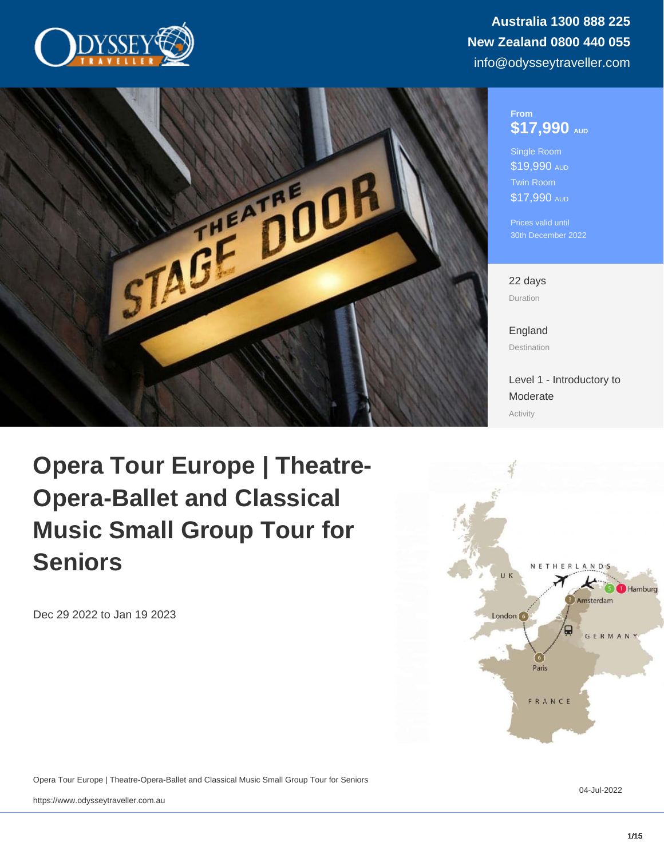# From \$17,990 AUD

Single Room \$19,990 AUD Twin Room \$17,990 AUD

Prices valid until 30th December 2022

22 days Duration

[England](https://www.odysseytraveller.com/destinations/british-isles/england/) Destination

[Level 1 - Introductory to](/tour-category/activity-levels/) [Moderate](/tour-category/activity-levels/) Activity

Opera Tour Europe | Theatre-Opera-Ballet and Classical Music Small Group Tour for Seniors

Dec 29 2022 to Jan 19 2023

Opera Tour Europe | Theatre-Opera-Ballet and Classical Music Small Group Tour for Seniors

04-Jul-2022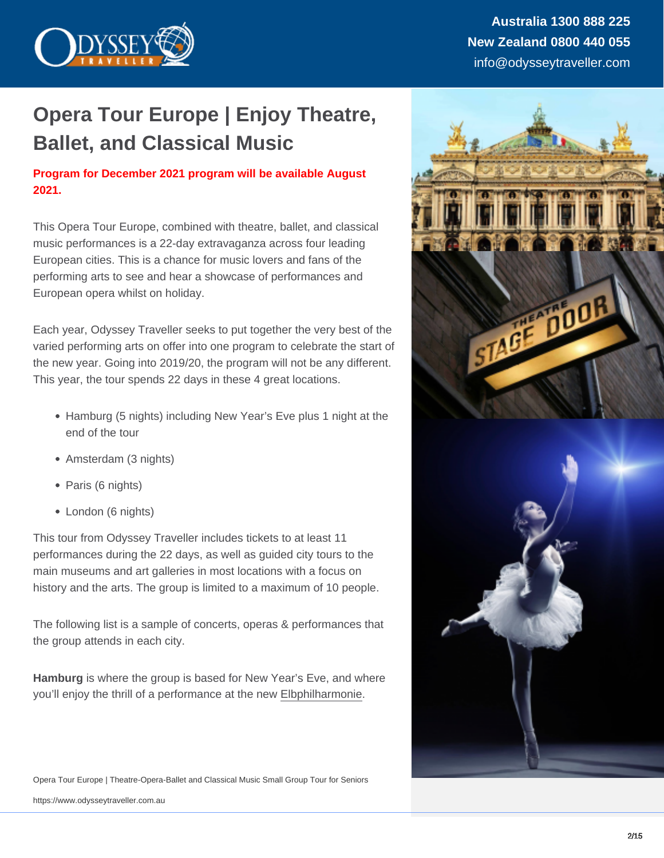# Opera Tour Europe | Enjoy Theatre, Ballet, and Classical Music

# Program for December 2021 program will be available August 2021.

This Opera Tour Europe, combined with theatre, ballet, and classical music performances is a 22-day extravaganza across four leading European cities. This is a chance for music lovers and fans of the performing arts to see and hear a showcase of performances and European opera whilst on holiday.

Each year, Odyssey Traveller seeks to put together the very best of the varied performing arts on offer into one program to celebrate the start of the new year. Going into 2019/20, the program will not be any different. This year, the tour spends 22 days in these 4 great locations.

- Hamburg (5 nights) including New Year's Eve plus 1 night at the end of the tour
- Amsterdam (3 nights)
- Paris (6 nights)
- London (6 nights)

This tour from Odyssey Traveller includes tickets to at least 11 performances during the 22 days, as well as guided city tours to the main museums and art galleries in most locations with a focus on history and the arts. The group is limited to a maximum of 10 people.

The following list is a sample of concerts, operas & performances that the group attends in each city.

Hamburg is where the group is based for New Year's Eve, and where you'll enjoy the thrill of a performance at the new [Elbphilharmonie](https://www.elbphilharmonie.de/en/).

Opera Tour Europe | Theatre-Opera-Ballet and Classical Music Small Group Tour for Seniors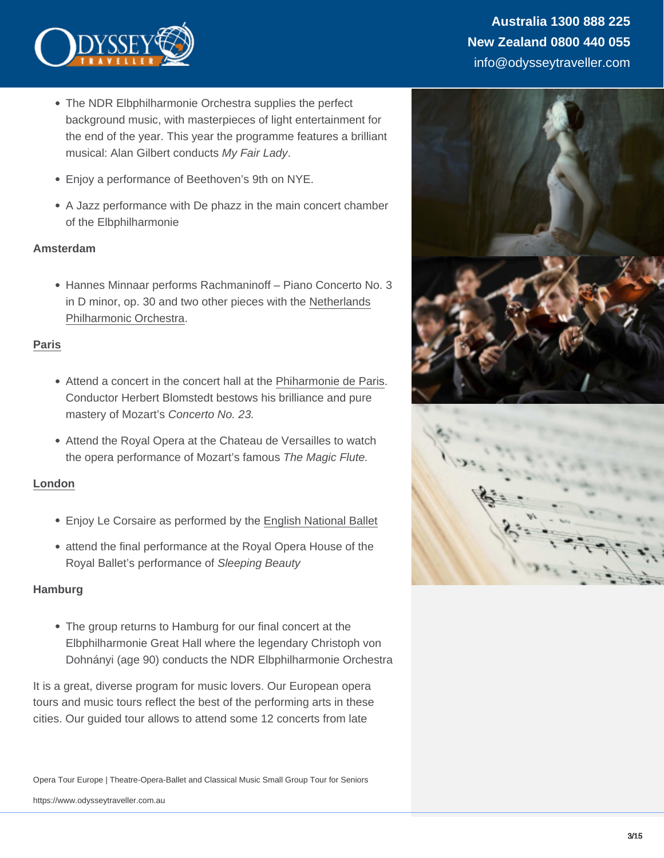- The NDR Elbphilharmonie Orchestra supplies the perfect background music, with masterpieces of light entertainment for the end of the year. This year the programme features a brilliant musical: Alan Gilbert conducts My Fair Lady.
- Enjoy a performance of Beethoven's 9th on NYE.
- A Jazz performance with De phazz in the main concert chamber of the Elbphilharmonie

#### Amsterdam

Hannes Minnaar performs Rachmaninoff – Piano Concerto No. 3 in D minor, op. 30 and two other pieces with the [Netherlands](https://orkest.nl/en/orchestras/3/netherlands-philharmonic-orchestra) [Philharmonic Orchestra](https://orkest.nl/en/orchestras/3/netherlands-philharmonic-orchestra).

#### [Paris](https://www.odysseytraveller.com/articles/designing-paris/)

- Attend a concert in the concert hall at the [Phiharmonie de Paris.](https://philharmoniedeparis.fr/en) Conductor Herbert Blomstedt bestows his brilliance and pure mastery of Mozart's Concerto No. 23.
- Attend the Royal Opera at the Chateau de Versailles to watch the opera performance of Mozart's famous The Magic Flute.

# [London](https://www.odysseytraveller.com/articles/ten-things-i-never-knew-about-london/)

- Enjoy Le Corsaire as performed by the [English National Ballet](https://www.ballet.org.uk/)
- attend the final performance at the Royal Opera House of the Royal Ballet's performance of Sleeping Beauty

#### **Hamburg**

The group returns to Hamburg for our final concert at the Elbphilharmonie Great Hall where the legendary Christoph von Dohnányi (age 90) conducts the NDR Elbphilharmonie Orchestra

It is a great, diverse program for music lovers. Our European opera tours and music tours reflect the best of the performing arts in these cities. Our guided tour allows to attend some 12 concerts from late

Opera Tour Europe | Theatre-Opera-Ballet and Classical Music Small Group Tour for Seniors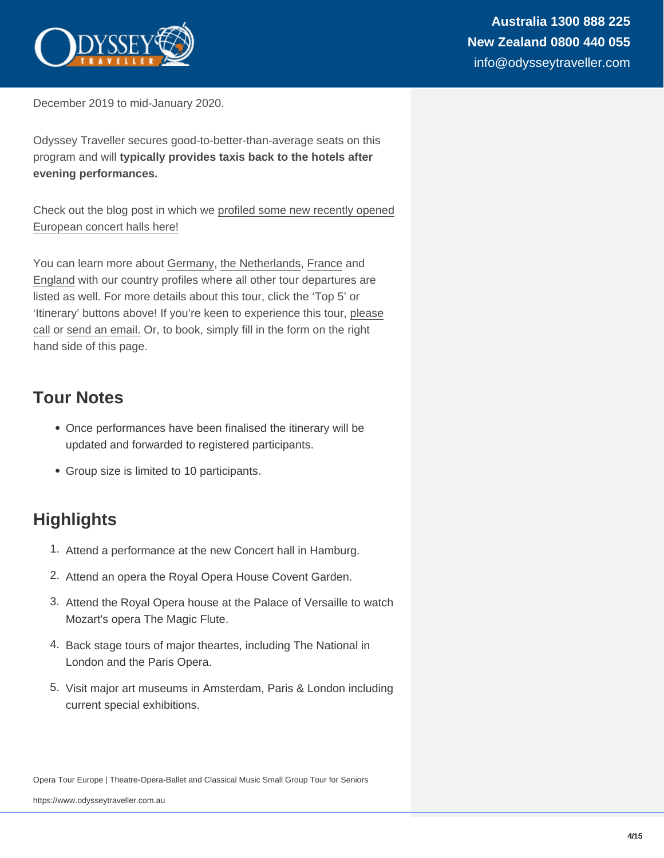December 2019 to mid-January 2020.

Odyssey Traveller secures good-to-better-than-average seats on this program and will typically provides taxis back to the hotels after evening performances.

Check out the blog post in which we [profiled some new recently opened](https://www.odysseytraveller.com/new-european-concert-halls/) [European concert halls here!](https://www.odysseytraveller.com/new-european-concert-halls/)

You can learn more about [Germany,](https://www.odysseytraveller.com/destinations/europe/germany/) [the Netherlands](https://www.odysseytraveller.com/destinations/europe/holland/), [France](https://www.odysseytraveller.com/destinations/europe/france/) and [England](https://www.odysseytraveller.com/destinations/british-isles/england/) with our country profiles where all other tour departures are listed as well. For more details about this tour, click the 'Top 5' or 'Itinerary' buttons above! If you're keen to experience this tour, [please](https://www.odysseytraveller.com/contact-us/) [call](https://www.odysseytraveller.com/contact-us/) or [send an email.](mailto:info@odysseytravel.com.au) Or, to book, simply fill in the form on the right hand side of this page.

# Tour Notes

- Once performances have been finalised the itinerary will be updated and forwarded to registered participants.
- Group size is limited to 10 participants.

# **Highlights**

- 1. Attend a performance at the new Concert hall in Hamburg.
- 2. Attend an opera the Royal Opera House Covent Garden.
- 3. Attend the Royal Opera house at the Palace of Versaille to watch Mozart's opera The Magic Flute.
- 4. Back stage tours of major theartes, including The National in London and the Paris Opera.
- 5. Visit major art museums in Amsterdam, Paris & London including current special exhibitions.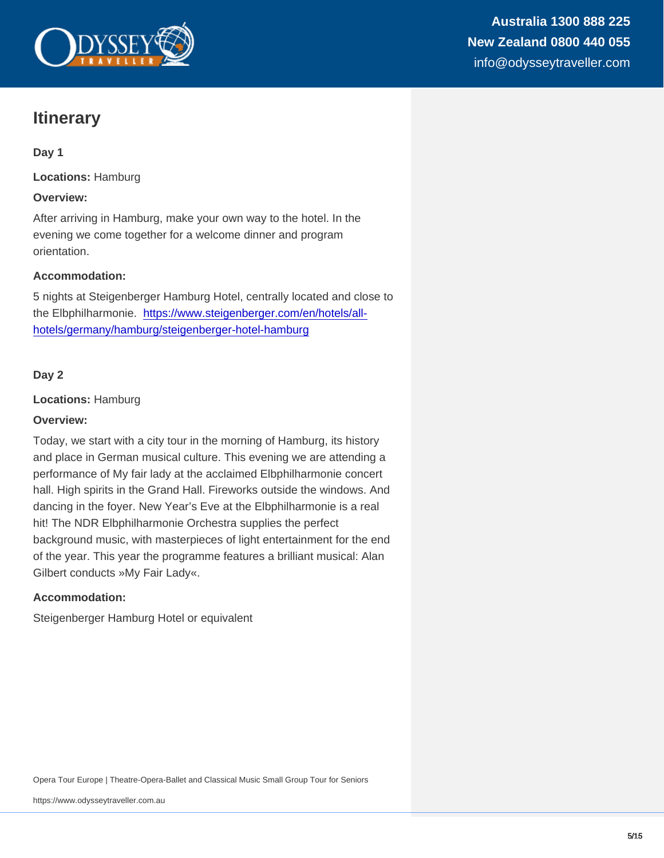# **Itinerary**

Day 1

Locations: Hamburg

Overview:

After arriving in Hamburg, make your own way to the hotel. In the evening we come together for a welcome dinner and program orientation.

Accommodation:

5 nights at Steigenberger Hamburg Hotel, centrally located and close to the Elbphilharmonie. [https://www.steigenberger.com/en/hotels/all](https://www.steigenberger.com/en/hotels/all-hotels/germany/hamburg/steigenberger-hotel-hamburg)[hotels/germany/hamburg/steigenberger-hotel-hamburg](https://www.steigenberger.com/en/hotels/all-hotels/germany/hamburg/steigenberger-hotel-hamburg)

Day 2

Locations: Hamburg

Overview:

Today, we start with a city tour in the morning of Hamburg, its history and place in German musical culture. This evening we are attending a performance of My fair lady at the acclaimed Elbphilharmonie concert hall. High spirits in the Grand Hall. Fireworks outside the windows. And dancing in the foyer. New Year's Eve at the Elbphilharmonie is a real hit! The NDR Elbphilharmonie Orchestra supplies the perfect background music, with masterpieces of light entertainment for the end of the year. This year the programme features a brilliant musical: Alan Gilbert conducts »My Fair Lady«.

Accommodation:

Steigenberger Hamburg Hotel or equivalent

Opera Tour Europe | Theatre-Opera-Ballet and Classical Music Small Group Tour for Seniors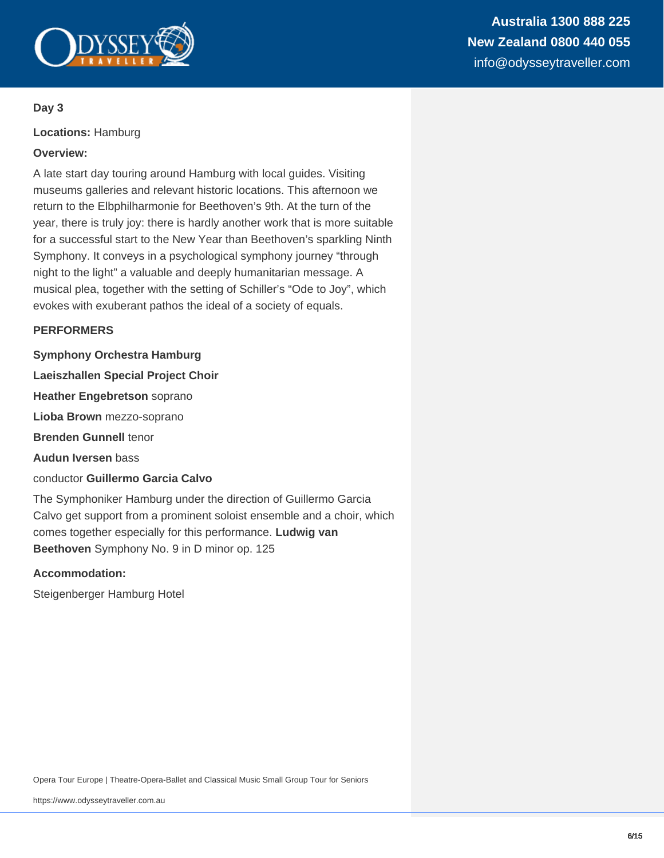

**Locations:** Hamburg

# **Overview:**

A late start day touring around Hamburg with local guides. Visiting museums galleries and relevant historic locations. This afternoon we return to the Elbphilharmonie for Beethoven's 9th. At the turn of the year, there is truly joy: there is hardly another work that is more suitable for a successful start to the New Year than Beethoven's sparkling Ninth Symphony. It conveys in a psychological symphony journey "through night to the light" a valuable and deeply humanitarian message. A musical plea, together with the setting of Schiller's "Ode to Joy", which evokes with exuberant pathos the ideal of a society of equals.

#### **PERFORMERS**

**Symphony Orchestra Hamburg**

**Laeiszhallen Special Project Choir**

**Heather Engebretson** soprano

**Lioba Brown** mezzo-soprano

**Brenden Gunnell** tenor

**Audun Iversen** bass

conductor **Guillermo Garcia Calvo**

The Symphoniker Hamburg under the direction of Guillermo Garcia Calvo get support from a prominent soloist ensemble and a choir, which comes together especially for this performance. **Ludwig van Beethoven** Symphony No. 9 in D minor op. 125

#### **Accommodation:**

Steigenberger Hamburg Hotel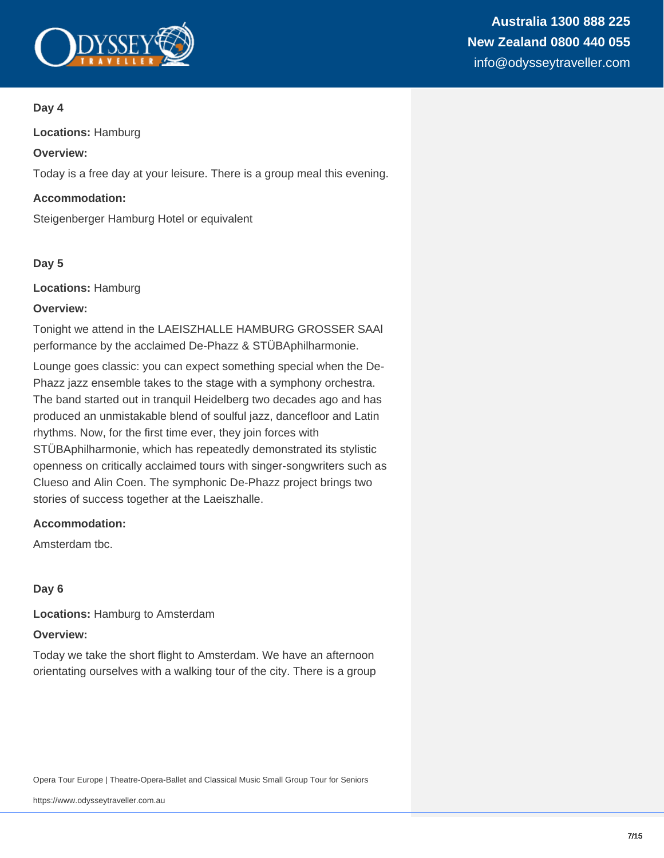

**Locations:** Hamburg

# **Overview:**

Today is a free day at your leisure. There is a group meal this evening.

# **Accommodation:**

Steigenberger Hamburg Hotel or equivalent

# **Day 5**

**Locations:** Hamburg

#### **Overview:**

Tonight we attend in the LAEISZHALLE HAMBURG GROSSER SAAl performance by the acclaimed De-Phazz & STÜBAphilharmonie.

Lounge goes classic: you can expect something special when the De-Phazz jazz ensemble takes to the stage with a symphony orchestra. The band started out in tranquil Heidelberg two decades ago and has produced an unmistakable blend of soulful jazz, dancefloor and Latin rhythms. Now, for the first time ever, they join forces with STÜBAphilharmonie, which has repeatedly demonstrated its stylistic openness on critically acclaimed tours with singer-songwriters such as Clueso and Alin Coen. The symphonic De-Phazz project brings two stories of success together at the Laeiszhalle.

# **Accommodation:**

Amsterdam tbc.

# **Day 6**

**Locations:** Hamburg to Amsterdam

#### **Overview:**

Today we take the short flight to Amsterdam. We have an afternoon orientating ourselves with a walking tour of the city. There is a group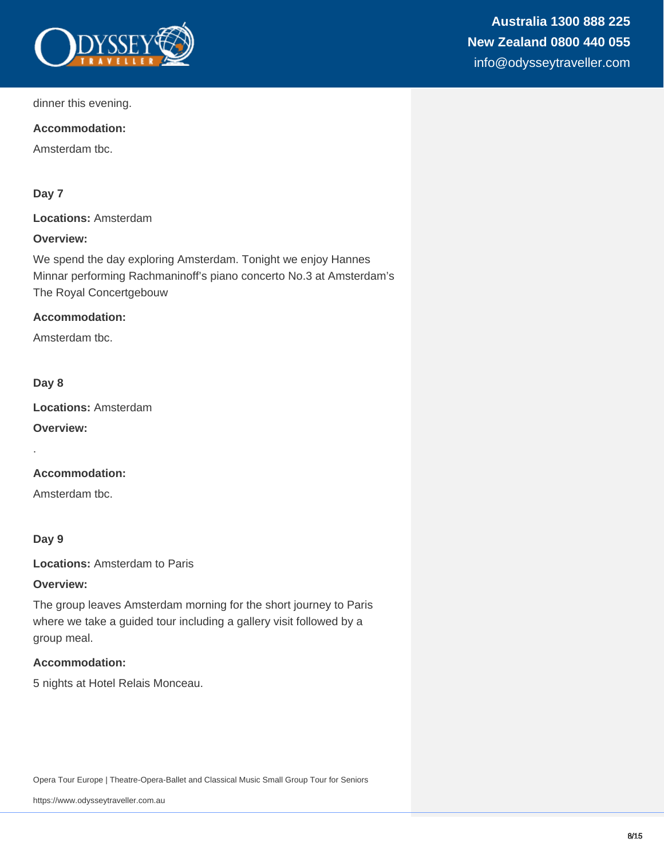

dinner this evening.

#### **Accommodation:**

Amsterdam tbc.

# **Day 7**

**Locations:** Amsterdam

# **Overview:**

We spend the day exploring Amsterdam. Tonight we enjoy Hannes Minnar performing Rachmaninoff's piano concerto No.3 at Amsterdam's The Royal Concertgebouw

#### **Accommodation:**

Amsterdam tbc.

#### **Day 8**

.

**Locations:** Amsterdam

**Overview:**

# **Accommodation:**

Amsterdam tbc.

#### **Day 9**

**Locations:** Amsterdam to Paris

#### **Overview:**

The group leaves Amsterdam morning for the short journey to Paris where we take a guided tour including a gallery visit followed by a group meal.

# **Accommodation:**

5 nights at Hotel Relais Monceau.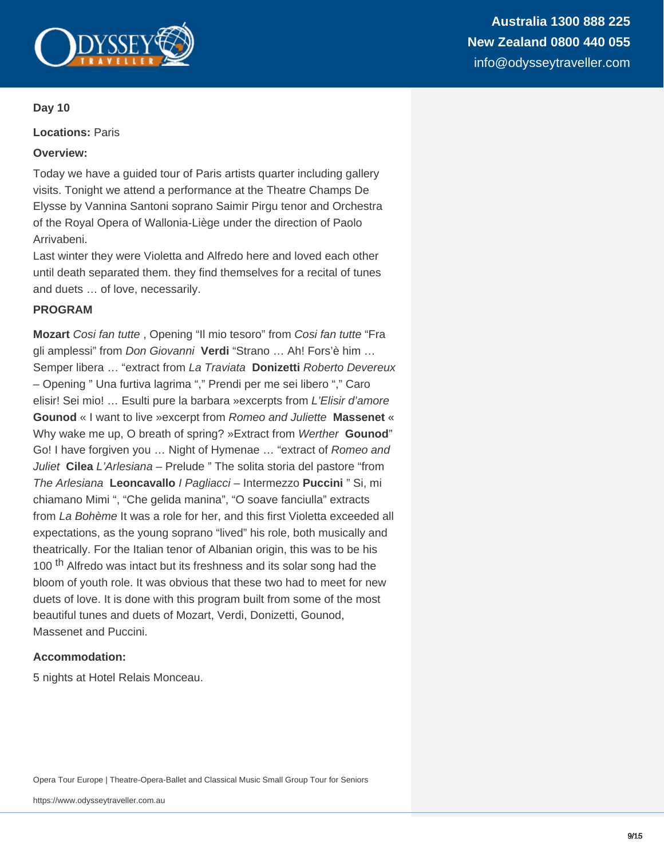

**Locations:** Paris

#### **Overview:**

Today we have a guided tour of Paris artists quarter including gallery visits. Tonight we attend a performance at the Theatre Champs De Elysse by Vannina Santoni soprano Saimir Pirgu tenor and Orchestra of the Royal Opera of Wallonia-Liège under the direction of Paolo Arrivabeni.

Last winter they were Violetta and Alfredo here and loved each other until death separated them. they find themselves for a recital of tunes and duets … of love, necessarily.

#### **PROGRAM**

**Mozart** Cosi fan tutte , Opening "Il mio tesoro" from Cosi fan tutte "Fra gli amplessi" from Don Giovanni **Verdi** "Strano … Ah! Fors'è him … Semper libera … "extract from La Traviata **Donizetti** Roberto Devereux – Opening " Una furtiva lagrima "," Prendi per me sei libero "," Caro elisir! Sei mio! ... Esulti pure la barbara »excerpts from L'Elisir d'amore **Gounod** « I want to live »excerpt from Romeo and Juliette **Massenet** « Why wake me up, O breath of spring? »Extract from Werther **Gounod**" Go! I have forgiven you … Night of Hymenae … "extract of Romeo and Juliet **Cilea** L'Arlesiana – Prelude " The solita storia del pastore "from The Arlesiana **Leoncavallo** I Pagliacci – Intermezzo **Puccini** " Si, mi chiamano Mimi ", "Che gelida manina", "O soave fanciulla" extracts from La Bohème It was a role for her, and this first Violetta exceeded all expectations, as the young soprano "lived" his role, both musically and theatrically. For the Italian tenor of Albanian origin, this was to be his 100<sup>th</sup> Alfredo was intact but its freshness and its solar song had the bloom of youth role. It was obvious that these two had to meet for new duets of love. It is done with this program built from some of the most beautiful tunes and duets of Mozart, Verdi, Donizetti, Gounod, Massenet and Puccini.

#### **Accommodation:**

5 nights at Hotel Relais Monceau.

Opera Tour Europe | Theatre-Opera-Ballet and Classical Music Small Group Tour for Seniors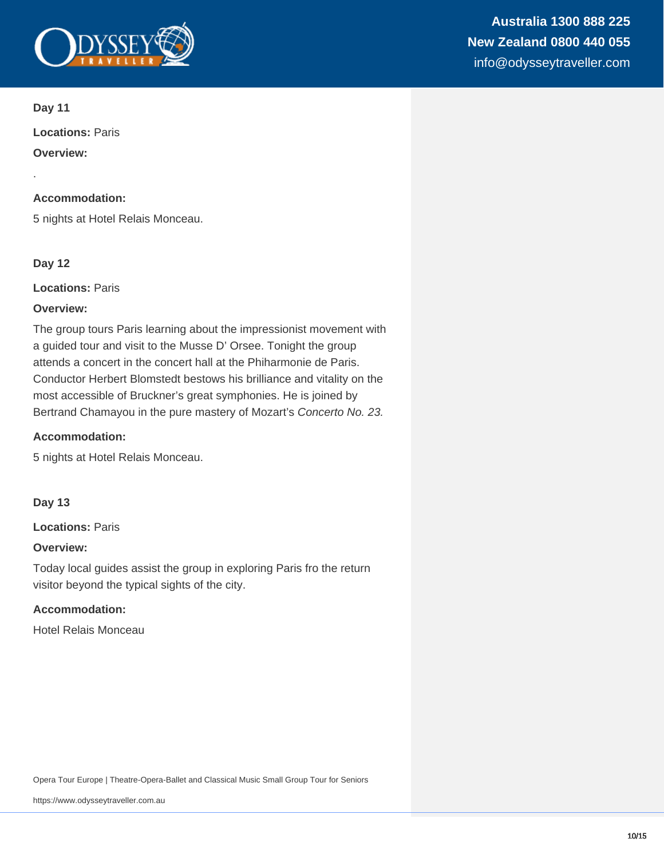

.

**Locations:** Paris

**Overview:**

#### **Accommodation:**

5 nights at Hotel Relais Monceau.

# **Day 12**

**Locations:** Paris

#### **Overview:**

The group tours Paris learning about the impressionist movement with a guided tour and visit to the Musse D' Orsee. Tonight the group attends a concert in the concert hall at the Phiharmonie de Paris. Conductor Herbert Blomstedt bestows his brilliance and vitality on the most accessible of Bruckner's great symphonies. He is joined by Bertrand Chamayou in the pure mastery of Mozart's Concerto No. 23.

#### **Accommodation:**

5 nights at Hotel Relais Monceau.

#### **Day 13**

**Locations:** Paris

#### **Overview:**

Today local guides assist the group in exploring Paris fro the return visitor beyond the typical sights of the city.

# **Accommodation:**

Hotel Relais Monceau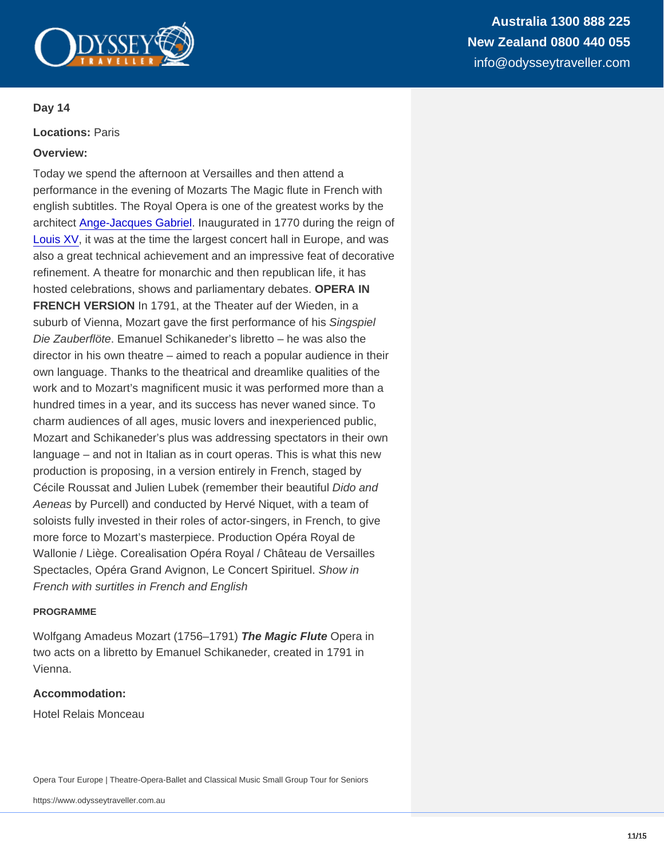Australia 1300 888 225 New Zealand 0800 440 055 info@odysseytraveller.com

Day 14

Locations: Paris

Overview:

Today we spend the afternoon at Versailles and then attend a performance in the evening of Mozarts The Magic flute in French with english subtitles. The Royal Opera is one of the greatest works by the architect [Ange-Jacques Gabriel](http://en.chateauversailles.fr/discover/history/gabriel-family). Inaugurated in 1770 during the reign of [Louis XV,](http://en.chateauversailles.fr/discover/history/great-characters/louis-xv) it was at the time the largest concert hall in Europe, and was also a great technical achievement and an impressive feat of decorative refinement. A theatre for monarchic and then republican life, it has hosted celebrations, shows and parliamentary debates. OPERA IN FRENCH VERSION In 1791, at the Theater auf der Wieden, in a suburb of Vienna, Mozart gave the first performance of his Singspiel Die Zauberflöte. Emanuel Schikaneder's libretto – he was also the director in his own theatre – aimed to reach a popular audience in their own language. Thanks to the theatrical and dreamlike qualities of the work and to Mozart's magnificent music it was performed more than a hundred times in a year, and its success has never waned since. To charm audiences of all ages, music lovers and inexperienced public, Mozart and Schikaneder's plus was addressing spectators in their own language – and not in Italian as in court operas. This is what this new production is proposing, in a version entirely in French, staged by Cécile Roussat and Julien Lubek (remember their beautiful Dido and Aeneas by Purcell) and conducted by Hervé Niquet, with a team of soloists fully invested in their roles of actor-singers, in French, to give more force to Mozart's masterpiece. Production Opéra Royal de Wallonie / Liège. Corealisation Opéra Royal / Château de Versailles Spectacles, Opéra Grand Avignon, Le Concert Spirituel. Show in French with surtitles in French and English

#### PROGRAMME

Wolfgang Amadeus Mozart (1756–1791) The Magic Flute Opera in two acts on a libretto by Emanuel Schikaneder, created in 1791 in Vienna.

Accommodation:

Hotel Relais Monceau

Opera Tour Europe | Theatre-Opera-Ballet and Classical Music Small Group Tour for Seniors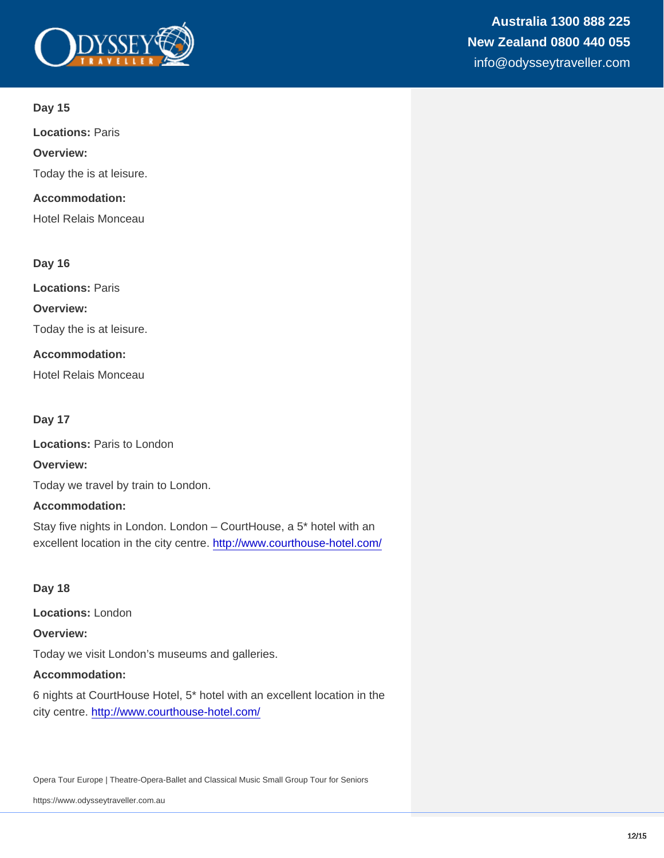Locations: Paris

Overview:

Today the is at leisure.

Accommodation:

Hotel Relais Monceau

Day 16

Locations: Paris

Overview:

Today the is at leisure.

Accommodation:

Hotel Relais Monceau

Day 17

Locations: Paris to London

Overview:

Today we travel by train to London.

Accommodation:

Stay five nights in London. London – CourtHouse, a 5\* hotel with an excellent location in the city centre.<http://www.courthouse-hotel.com/>

Day 18

Locations: London

Overview:

Today we visit London's museums and galleries.

Accommodation:

6 nights at CourtHouse Hotel, 5\* hotel with an excellent location in the city centre.<http://www.courthouse-hotel.com/>

Opera Tour Europe | Theatre-Opera-Ballet and Classical Music Small Group Tour for Seniors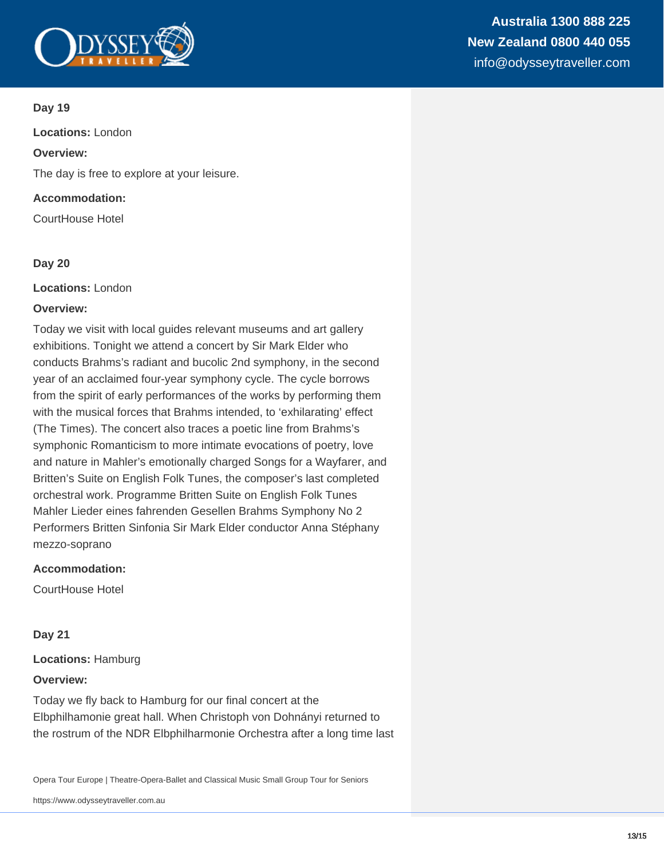

**Locations:** London

# **Overview:**

The day is free to explore at your leisure.

# **Accommodation:**

CourtHouse Hotel

# **Day 20**

**Locations:** London

# **Overview:**

Today we visit with local guides relevant museums and art gallery exhibitions. Tonight we attend a concert by Sir Mark Elder who conducts Brahms's radiant and bucolic 2nd symphony, in the second year of an acclaimed four-year symphony cycle. The cycle borrows from the spirit of early performances of the works by performing them with the musical forces that Brahms intended, to 'exhilarating' effect (The Times). The concert also traces a poetic line from Brahms's symphonic Romanticism to more intimate evocations of poetry, love and nature in Mahler's emotionally charged Songs for a Wayfarer, and Britten's Suite on English Folk Tunes, the composer's last completed orchestral work. Programme Britten Suite on English Folk Tunes Mahler Lieder eines fahrenden Gesellen Brahms Symphony No 2 Performers Britten Sinfonia Sir Mark Elder conductor Anna Stéphany mezzo-soprano

# **Accommodation:**

CourtHouse Hotel

# **Day 21**

**Locations:** Hamburg

#### **Overview:**

Today we fly back to Hamburg for our final concert at the Elbphilhamonie great hall. When Christoph von Dohnányi returned to the rostrum of the NDR Elbphilharmonie Orchestra after a long time last

Opera Tour Europe | Theatre-Opera-Ballet and Classical Music Small Group Tour for Seniors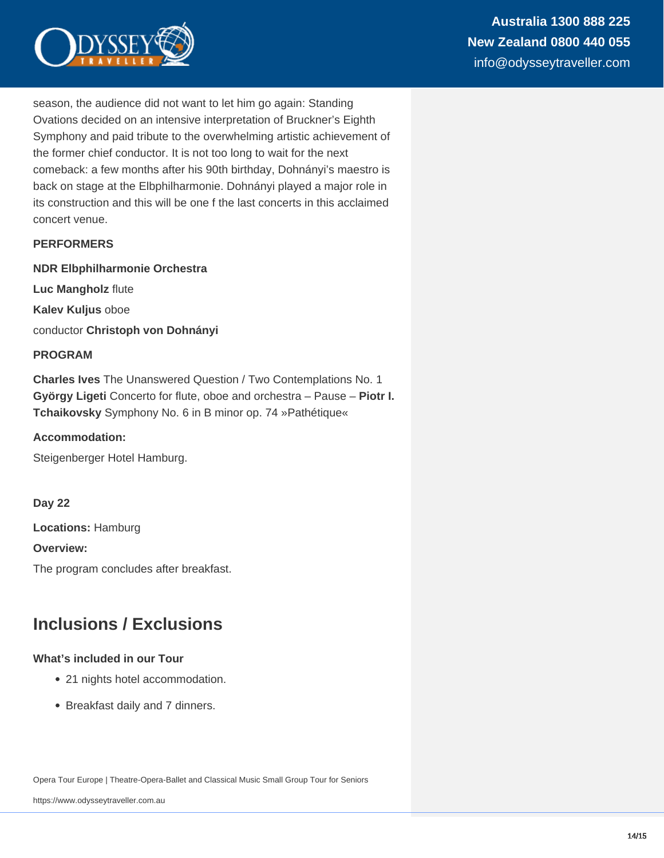

season, the audience did not want to let him go again: Standing Ovations decided on an intensive interpretation of Bruckner's Eighth Symphony and paid tribute to the overwhelming artistic achievement of the former chief conductor. It is not too long to wait for the next comeback: a few months after his 90th birthday, Dohnányi's maestro is back on stage at the Elbphilharmonie. Dohnányi played a major role in its construction and this will be one f the last concerts in this acclaimed concert venue.

# **PERFORMERS**

**NDR Elbphilharmonie Orchestra**

**Luc Mangholz** flute

**Kalev Kuljus** oboe

conductor **Christoph von Dohnányi**

#### **PROGRAM**

**Charles Ives** The Unanswered Question / Two Contemplations No. 1 **György Ligeti** Concerto for flute, oboe and orchestra – Pause – **Piotr I. Tchaikovsky** Symphony No. 6 in B minor op. 74 »Pathétique«

#### **Accommodation:**

Steigenberger Hotel Hamburg.

**Day 22**

**Locations:** Hamburg

**Overview:**

The program concludes after breakfast.

# **Inclusions / Exclusions**

#### **What's included in our Tour**

- 21 nights hotel accommodation.
- Breakfast daily and 7 dinners.